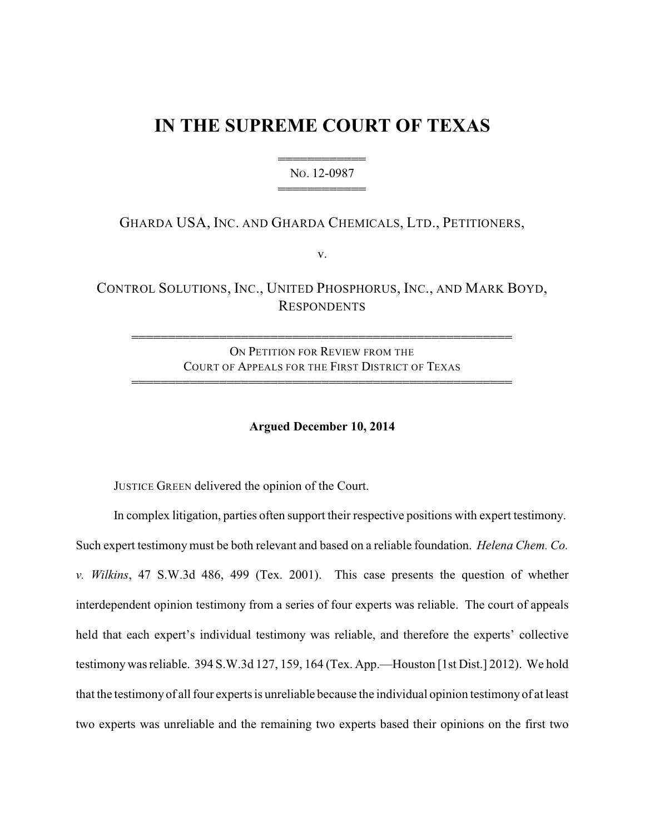# **IN THE SUPREME COURT OF TEXAS**

444444444444 NO. 12-0987 444444444444

# GHARDA USA, INC. AND GHARDA CHEMICALS, LTD., PETITIONERS,

v.

CONTROL SOLUTIONS, INC., UNITED PHOSPHORUS, INC., AND MARK BOYD, **RESPONDENTS** 

ON PETITION FOR REVIEW FROM THE COURT OF APPEALS FOR THE FIRST DISTRICT OF TEXAS 4444444444444444444444444444444444444444444444444444

4444444444444444444444444444444444444444444444444444

### **Argued December 10, 2014**

JUSTICE GREEN delivered the opinion of the Court.

In complex litigation, parties often support their respective positions with expert testimony. Such expert testimony must be both relevant and based on a reliable foundation. *Helena Chem. Co. v. Wilkins*, 47 S.W.3d 486, 499 (Tex. 2001). This case presents the question of whether interdependent opinion testimony from a series of four experts was reliable. The court of appeals held that each expert's individual testimony was reliable, and therefore the experts' collective testimony was reliable. 394 S.W.3d 127, 159, 164 (Tex. App.—Houston [1st Dist.] 2012). We hold that the testimony of all four experts is unreliable because the individual opinion testimony of at least two experts was unreliable and the remaining two experts based their opinions on the first two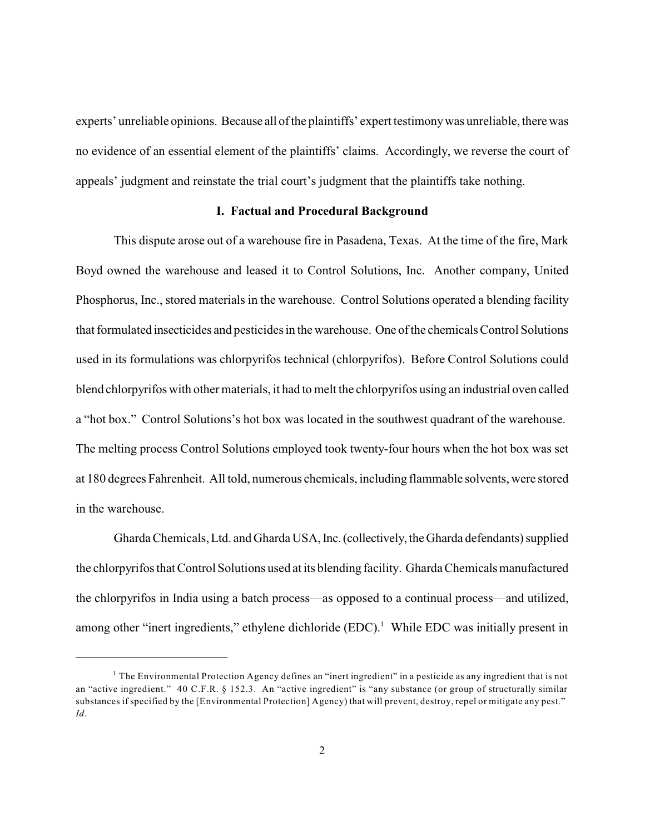experts' unreliable opinions. Because all of the plaintiffs' expert testimonywas unreliable, therewas no evidence of an essential element of the plaintiffs' claims. Accordingly, we reverse the court of appeals' judgment and reinstate the trial court's judgment that the plaintiffs take nothing.

#### **I. Factual and Procedural Background**

This dispute arose out of a warehouse fire in Pasadena, Texas. At the time of the fire, Mark Boyd owned the warehouse and leased it to Control Solutions, Inc. Another company, United Phosphorus, Inc., stored materials in the warehouse. Control Solutions operated a blending facility that formulated insecticides and pesticides in the warehouse. One of the chemicals Control Solutions used in its formulations was chlorpyrifos technical (chlorpyrifos). Before Control Solutions could blend chlorpyrifos with other materials, it had to melt the chlorpyrifos using an industrial oven called a "hot box." Control Solutions's hot box was located in the southwest quadrant of the warehouse. The melting process Control Solutions employed took twenty-four hours when the hot box was set at 180 degrees Fahrenheit. All told, numerous chemicals, including flammable solvents, were stored in the warehouse.

Gharda Chemicals, Ltd. and Gharda USA, Inc.(collectively, theGharda defendants) supplied the chlorpyrifos that Control Solutions used at its blending facility. Gharda Chemicalsmanufactured the chlorpyrifos in India using a batch process—as opposed to a continual process—and utilized, among other "inert ingredients," ethylene dichloride  $(EDC)^1$ . While EDC was initially present in

 $<sup>1</sup>$  The Environmental Protection Agency defines an "inert ingredient" in a pesticide as any ingredient that is not</sup> an "active ingredient." 40 C.F.R. § 152.3. An "active ingredient" is "any substance (or group of structurally similar substances if specified by the [Environmental Protection] Agency) that will prevent, destroy, repel or mitigate any pest." *Id.*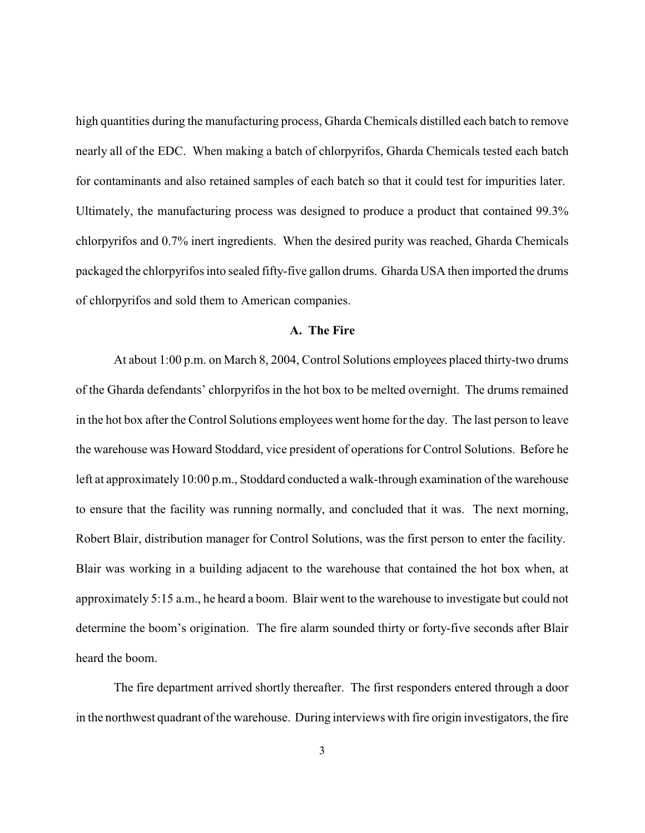high quantities during the manufacturing process, Gharda Chemicals distilled each batch to remove nearly all of the EDC. When making a batch of chlorpyrifos, Gharda Chemicals tested each batch for contaminants and also retained samples of each batch so that it could test for impurities later. Ultimately, the manufacturing process was designed to produce a product that contained 99.3% chlorpyrifos and 0.7% inert ingredients. When the desired purity was reached, Gharda Chemicals packaged the chlorpyrifos into sealed fifty-five gallon drums. Gharda USA then imported the drums of chlorpyrifos and sold them to American companies.

# **A. The Fire**

At about 1:00 p.m. on March 8, 2004, Control Solutions employees placed thirty-two drums of the Gharda defendants' chlorpyrifos in the hot box to be melted overnight. The drums remained in the hot box after the Control Solutions employees went home for the day. The last person to leave the warehouse was Howard Stoddard, vice president of operations for Control Solutions. Before he left at approximately 10:00 p.m., Stoddard conducted a walk-through examination of the warehouse to ensure that the facility was running normally, and concluded that it was. The next morning, Robert Blair, distribution manager for Control Solutions, was the first person to enter the facility. Blair was working in a building adjacent to the warehouse that contained the hot box when, at approximately 5:15 a.m., he heard a boom. Blair went to the warehouse to investigate but could not determine the boom's origination. The fire alarm sounded thirty or forty-five seconds after Blair heard the boom.

The fire department arrived shortly thereafter. The first responders entered through a door in the northwest quadrant of the warehouse. During interviews with fire origin investigators, the fire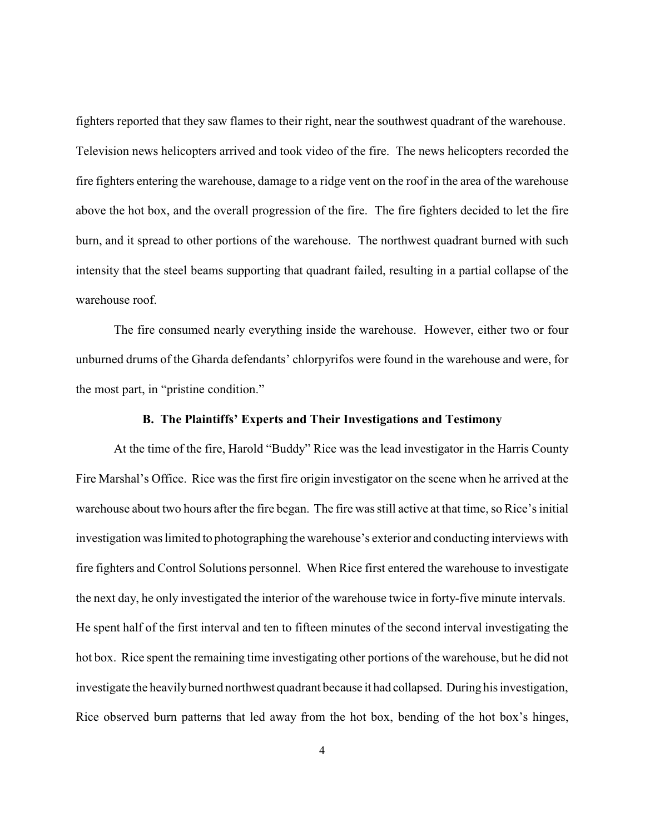fighters reported that they saw flames to their right, near the southwest quadrant of the warehouse. Television news helicopters arrived and took video of the fire. The news helicopters recorded the fire fighters entering the warehouse, damage to a ridge vent on the roof in the area of the warehouse above the hot box, and the overall progression of the fire. The fire fighters decided to let the fire burn, and it spread to other portions of the warehouse. The northwest quadrant burned with such intensity that the steel beams supporting that quadrant failed, resulting in a partial collapse of the warehouse roof.

The fire consumed nearly everything inside the warehouse. However, either two or four unburned drums of the Gharda defendants' chlorpyrifos were found in the warehouse and were, for the most part, in "pristine condition."

#### **B. The Plaintiffs' Experts and Their Investigations and Testimony**

At the time of the fire, Harold "Buddy" Rice was the lead investigator in the Harris County Fire Marshal's Office. Rice was the first fire origin investigator on the scene when he arrived at the warehouse about two hours after the fire began. The fire was still active at that time, so Rice's initial investigation was limited to photographing the warehouse's exterior and conducting interviews with fire fighters and Control Solutions personnel. When Rice first entered the warehouse to investigate the next day, he only investigated the interior of the warehouse twice in forty-five minute intervals. He spent half of the first interval and ten to fifteen minutes of the second interval investigating the hot box. Rice spent the remaining time investigating other portions of the warehouse, but he did not investigate the heavilyburned northwest quadrant because it had collapsed. During his investigation, Rice observed burn patterns that led away from the hot box, bending of the hot box's hinges,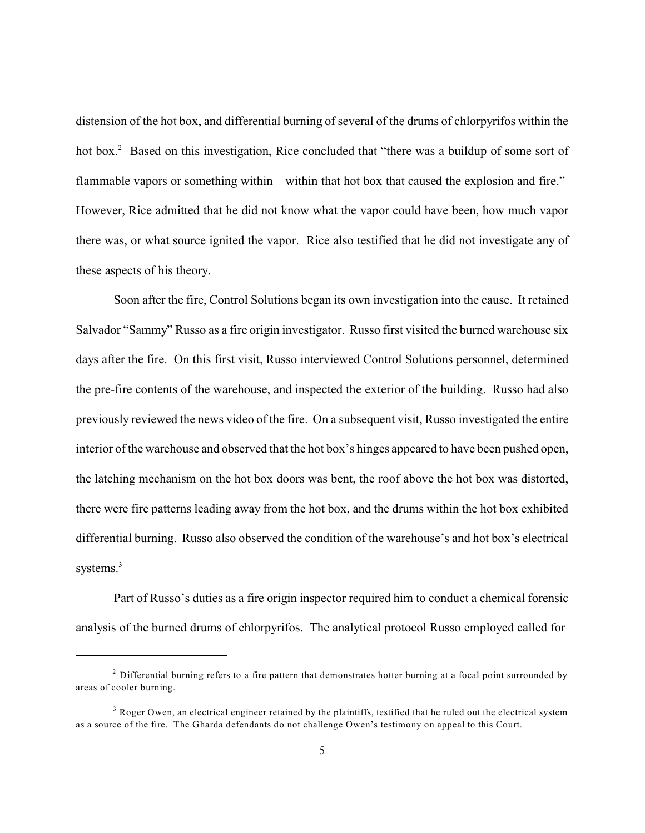distension of the hot box, and differential burning of several of the drums of chlorpyrifos within the hot box.<sup>2</sup> Based on this investigation, Rice concluded that "there was a buildup of some sort of flammable vapors or something within—within that hot box that caused the explosion and fire." However, Rice admitted that he did not know what the vapor could have been, how much vapor there was, or what source ignited the vapor. Rice also testified that he did not investigate any of these aspects of his theory.

Soon after the fire, Control Solutions began its own investigation into the cause. It retained Salvador "Sammy" Russo as a fire origin investigator. Russo first visited the burned warehouse six days after the fire. On this first visit, Russo interviewed Control Solutions personnel, determined the pre-fire contents of the warehouse, and inspected the exterior of the building. Russo had also previously reviewed the news video of the fire. On a subsequent visit, Russo investigated the entire interior of the warehouse and observed that the hot box's hinges appeared to have been pushed open, the latching mechanism on the hot box doors was bent, the roof above the hot box was distorted, there were fire patterns leading away from the hot box, and the drums within the hot box exhibited differential burning. Russo also observed the condition of the warehouse's and hot box's electrical systems.<sup>3</sup>

Part of Russo's duties as a fire origin inspector required him to conduct a chemical forensic analysis of the burned drums of chlorpyrifos. The analytical protocol Russo employed called for

 $^2$  Differential burning refers to a fire pattern that demonstrates hotter burning at a focal point surrounded by areas of cooler burning.

 $3$  Roger Owen, an electrical engineer retained by the plaintiffs, testified that he ruled out the electrical system as a source of the fire. The Gharda defendants do not challenge Owen's testimony on appeal to this Court.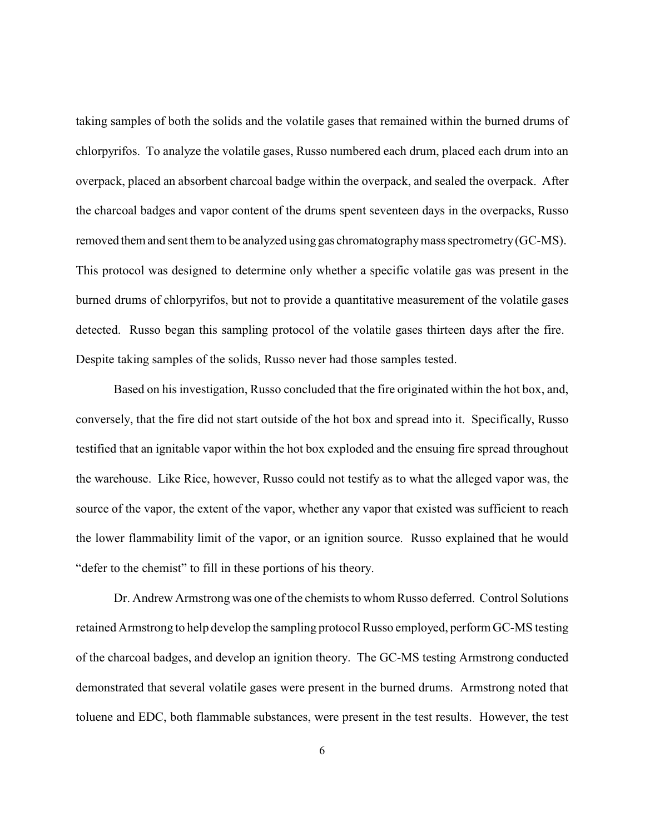taking samples of both the solids and the volatile gases that remained within the burned drums of chlorpyrifos. To analyze the volatile gases, Russo numbered each drum, placed each drum into an overpack, placed an absorbent charcoal badge within the overpack, and sealed the overpack. After the charcoal badges and vapor content of the drums spent seventeen days in the overpacks, Russo removed them and sent them to be analyzed using gas chromatographymass spectrometry(GC-MS). This protocol was designed to determine only whether a specific volatile gas was present in the burned drums of chlorpyrifos, but not to provide a quantitative measurement of the volatile gases detected. Russo began this sampling protocol of the volatile gases thirteen days after the fire. Despite taking samples of the solids, Russo never had those samples tested.

Based on his investigation, Russo concluded that the fire originated within the hot box, and, conversely, that the fire did not start outside of the hot box and spread into it. Specifically, Russo testified that an ignitable vapor within the hot box exploded and the ensuing fire spread throughout the warehouse. Like Rice, however, Russo could not testify as to what the alleged vapor was, the source of the vapor, the extent of the vapor, whether any vapor that existed was sufficient to reach the lower flammability limit of the vapor, or an ignition source. Russo explained that he would "defer to the chemist" to fill in these portions of his theory.

Dr. Andrew Armstrong was one of the chemists to whom Russo deferred. Control Solutions retained Armstrong to help develop the sampling protocol Russo employed, perform GC-MS testing of the charcoal badges, and develop an ignition theory. The GC-MS testing Armstrong conducted demonstrated that several volatile gases were present in the burned drums. Armstrong noted that toluene and EDC, both flammable substances, were present in the test results. However, the test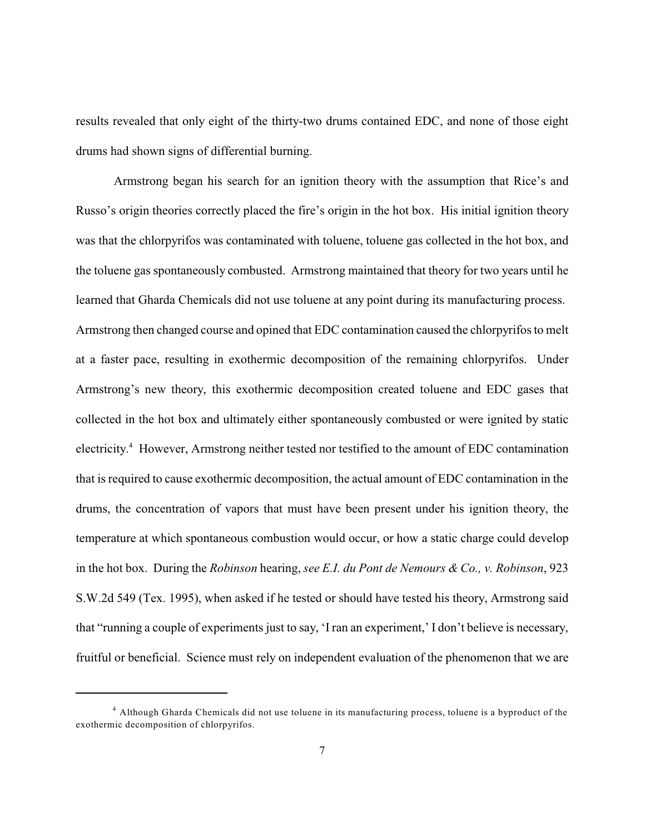results revealed that only eight of the thirty-two drums contained EDC, and none of those eight drums had shown signs of differential burning.

Armstrong began his search for an ignition theory with the assumption that Rice's and Russo's origin theories correctly placed the fire's origin in the hot box. His initial ignition theory was that the chlorpyrifos was contaminated with toluene, toluene gas collected in the hot box, and the toluene gas spontaneously combusted. Armstrong maintained that theory for two years until he learned that Gharda Chemicals did not use toluene at any point during its manufacturing process. Armstrong then changed course and opined that EDC contamination caused the chlorpyrifos to melt at a faster pace, resulting in exothermic decomposition of the remaining chlorpyrifos. Under Armstrong's new theory, this exothermic decomposition created toluene and EDC gases that collected in the hot box and ultimately either spontaneously combusted or were ignited by static electricity.<sup>4</sup> However, Armstrong neither tested nor testified to the amount of EDC contamination that is required to cause exothermic decomposition, the actual amount of EDC contamination in the drums, the concentration of vapors that must have been present under his ignition theory, the temperature at which spontaneous combustion would occur, or how a static charge could develop in the hot box. During the *Robinson* hearing, *see E.I. du Pont de Nemours & Co., v. Robinson*, 923 S.W.2d 549 (Tex. 1995), when asked if he tested or should have tested his theory, Armstrong said that "running a couple of experiments just to say, 'I ran an experiment,' I don't believe is necessary, fruitful or beneficial. Science must rely on independent evaluation of the phenomenon that we are

<sup>&</sup>lt;sup>4</sup> Although Gharda Chemicals did not use toluene in its manufacturing process, toluene is a byproduct of the exothermic decomposition of chlorpyrifos.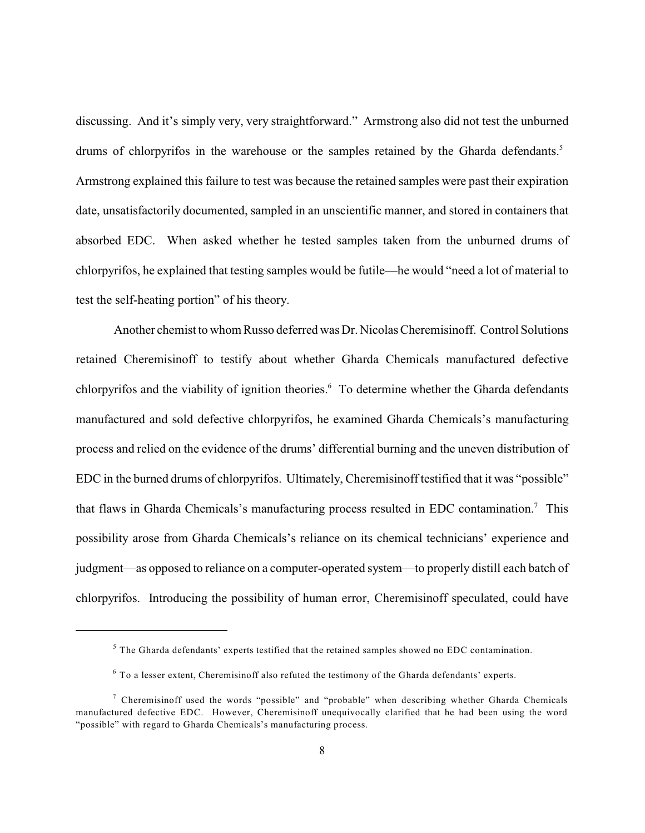discussing. And it's simply very, very straightforward." Armstrong also did not test the unburned drums of chlorpyrifos in the warehouse or the samples retained by the Gharda defendants.<sup>5</sup> Armstrong explained this failure to test was because the retained samples were past their expiration date, unsatisfactorily documented, sampled in an unscientific manner, and stored in containers that absorbed EDC. When asked whether he tested samples taken from the unburned drums of chlorpyrifos, he explained that testing samples would be futile—he would "need a lot of material to test the self-heating portion" of his theory.

Another chemist to whom Russo deferred was Dr. Nicolas Cheremisinoff. Control Solutions retained Cheremisinoff to testify about whether Gharda Chemicals manufactured defective chlorpyrifos and the viability of ignition theories.<sup>6</sup> To determine whether the Gharda defendants manufactured and sold defective chlorpyrifos, he examined Gharda Chemicals's manufacturing process and relied on the evidence of the drums' differential burning and the uneven distribution of EDC in the burned drums of chlorpyrifos. Ultimately, Cheremisinoff testified that it was "possible" that flaws in Gharda Chemicals's manufacturing process resulted in EDC contamination.<sup>7</sup> This possibility arose from Gharda Chemicals's reliance on its chemical technicians' experience and judgment—as opposed to reliance on a computer-operated system—to properly distill each batch of chlorpyrifos. Introducing the possibility of human error, Cheremisinoff speculated, could have

 $5$  The Gharda defendants' experts testified that the retained samples showed no EDC contamination.

 $6$  To a lesser extent, Cheremisinoff also refuted the testimony of the Gharda defendants' experts.

 $\frac{7}{1}$  Cheremisinoff used the words "possible" and "probable" when describing whether Gharda Chemicals manufactured defective EDC. However, Cheremisinoff unequivocally clarified that he had been using the word "possible" with regard to Gharda Chemicals's manufacturing process.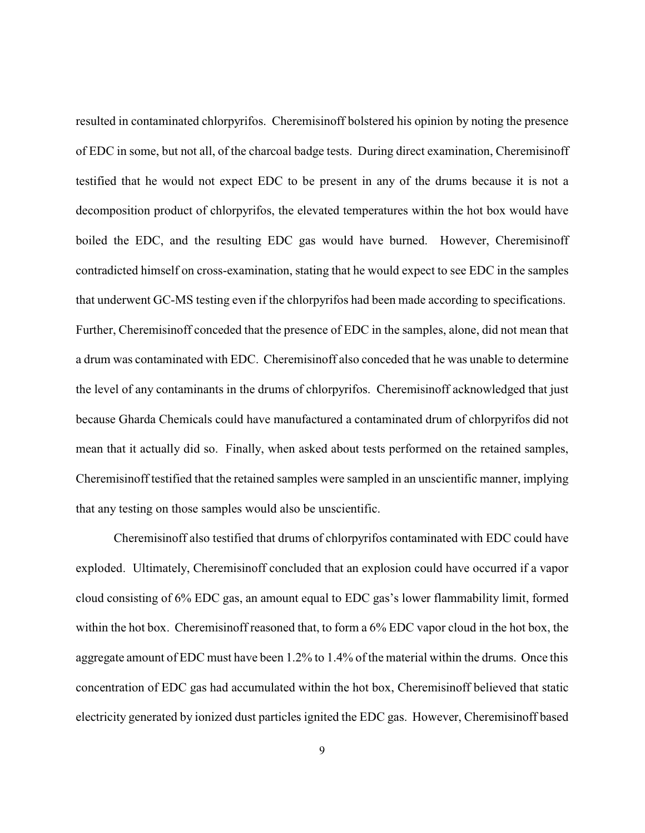resulted in contaminated chlorpyrifos. Cheremisinoff bolstered his opinion by noting the presence of EDC in some, but not all, of the charcoal badge tests. During direct examination, Cheremisinoff testified that he would not expect EDC to be present in any of the drums because it is not a decomposition product of chlorpyrifos, the elevated temperatures within the hot box would have boiled the EDC, and the resulting EDC gas would have burned. However, Cheremisinoff contradicted himself on cross-examination, stating that he would expect to see EDC in the samples that underwent GC-MS testing even if the chlorpyrifos had been made according to specifications. Further, Cheremisinoff conceded that the presence of EDC in the samples, alone, did not mean that a drum was contaminated with EDC. Cheremisinoff also conceded that he was unable to determine the level of any contaminants in the drums of chlorpyrifos. Cheremisinoff acknowledged that just because Gharda Chemicals could have manufactured a contaminated drum of chlorpyrifos did not mean that it actually did so. Finally, when asked about tests performed on the retained samples, Cheremisinoff testified that the retained samples were sampled in an unscientific manner, implying that any testing on those samples would also be unscientific.

Cheremisinoff also testified that drums of chlorpyrifos contaminated with EDC could have exploded. Ultimately, Cheremisinoff concluded that an explosion could have occurred if a vapor cloud consisting of 6% EDC gas, an amount equal to EDC gas's lower flammability limit, formed within the hot box. Cheremisinoff reasoned that, to form a 6% EDC vapor cloud in the hot box, the aggregate amount of EDC must have been 1.2% to 1.4% of the material within the drums. Once this concentration of EDC gas had accumulated within the hot box, Cheremisinoff believed that static electricity generated by ionized dust particles ignited the EDC gas. However, Cheremisinoff based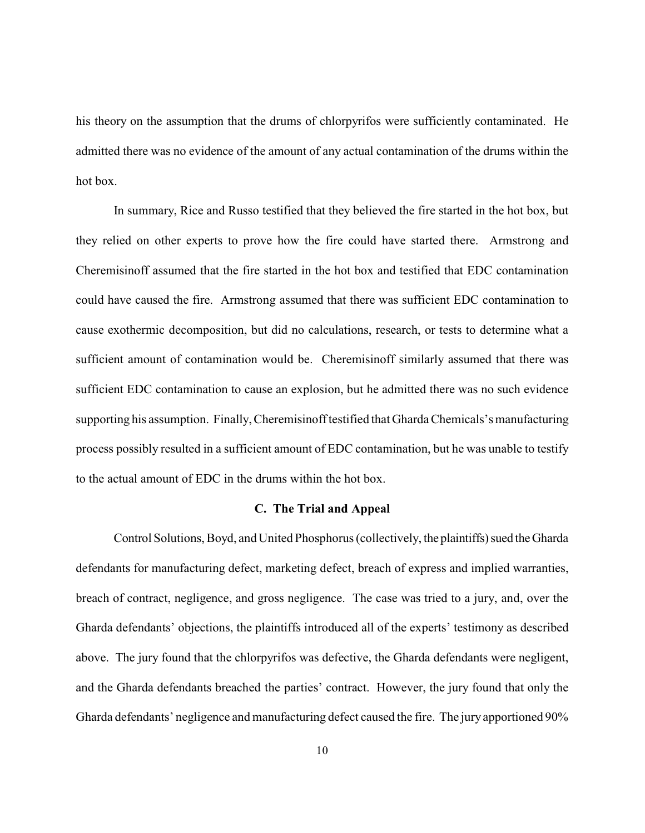his theory on the assumption that the drums of chlorpyrifos were sufficiently contaminated. He admitted there was no evidence of the amount of any actual contamination of the drums within the hot box.

In summary, Rice and Russo testified that they believed the fire started in the hot box, but they relied on other experts to prove how the fire could have started there. Armstrong and Cheremisinoff assumed that the fire started in the hot box and testified that EDC contamination could have caused the fire. Armstrong assumed that there was sufficient EDC contamination to cause exothermic decomposition, but did no calculations, research, or tests to determine what a sufficient amount of contamination would be. Cheremisinoff similarly assumed that there was sufficient EDC contamination to cause an explosion, but he admitted there was no such evidence supporting his assumption. Finally, Cheremisinoff testified that Gharda Chemicals's manufacturing process possibly resulted in a sufficient amount of EDC contamination, but he was unable to testify to the actual amount of EDC in the drums within the hot box.

#### **C. The Trial and Appeal**

Control Solutions, Boyd, and United Phosphorus (collectively, the plaintiffs) sued the Gharda defendants for manufacturing defect, marketing defect, breach of express and implied warranties, breach of contract, negligence, and gross negligence. The case was tried to a jury, and, over the Gharda defendants' objections, the plaintiffs introduced all of the experts' testimony as described above. The jury found that the chlorpyrifos was defective, the Gharda defendants were negligent, and the Gharda defendants breached the parties' contract. However, the jury found that only the Gharda defendants' negligence and manufacturing defect caused the fire. The jury apportioned 90%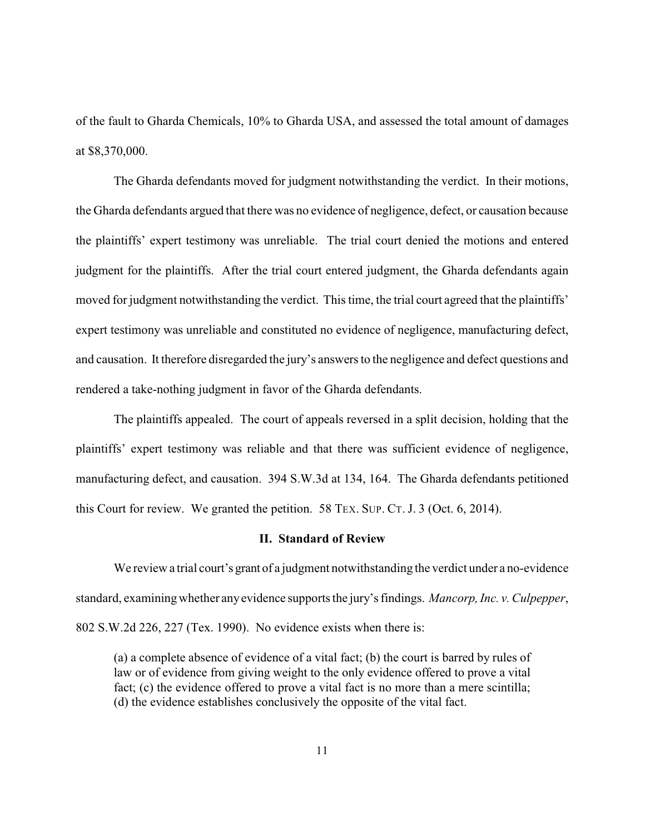of the fault to Gharda Chemicals, 10% to Gharda USA, and assessed the total amount of damages at \$8,370,000.

The Gharda defendants moved for judgment notwithstanding the verdict. In their motions, the Gharda defendants argued that there was no evidence of negligence, defect, or causation because the plaintiffs' expert testimony was unreliable. The trial court denied the motions and entered judgment for the plaintiffs. After the trial court entered judgment, the Gharda defendants again moved for judgment notwithstanding the verdict. This time, the trial court agreed that the plaintiffs' expert testimony was unreliable and constituted no evidence of negligence, manufacturing defect, and causation. It therefore disregarded the jury's answers to the negligence and defect questions and rendered a take-nothing judgment in favor of the Gharda defendants.

The plaintiffs appealed. The court of appeals reversed in a split decision, holding that the plaintiffs' expert testimony was reliable and that there was sufficient evidence of negligence, manufacturing defect, and causation. 394 S.W.3d at 134, 164. The Gharda defendants petitioned this Court for review. We granted the petition. 58 TEX. SUP. CT. J. 3 (Oct. 6, 2014).

# **II. Standard of Review**

We review a trial court's grant of a judgment notwithstanding the verdict under a no-evidence standard, examining whether anyevidence supports the jury's findings. *Mancorp, Inc. v. Culpepper*, 802 S.W.2d 226, 227 (Tex. 1990). No evidence exists when there is:

(a) a complete absence of evidence of a vital fact; (b) the court is barred by rules of law or of evidence from giving weight to the only evidence offered to prove a vital fact; (c) the evidence offered to prove a vital fact is no more than a mere scintilla; (d) the evidence establishes conclusively the opposite of the vital fact.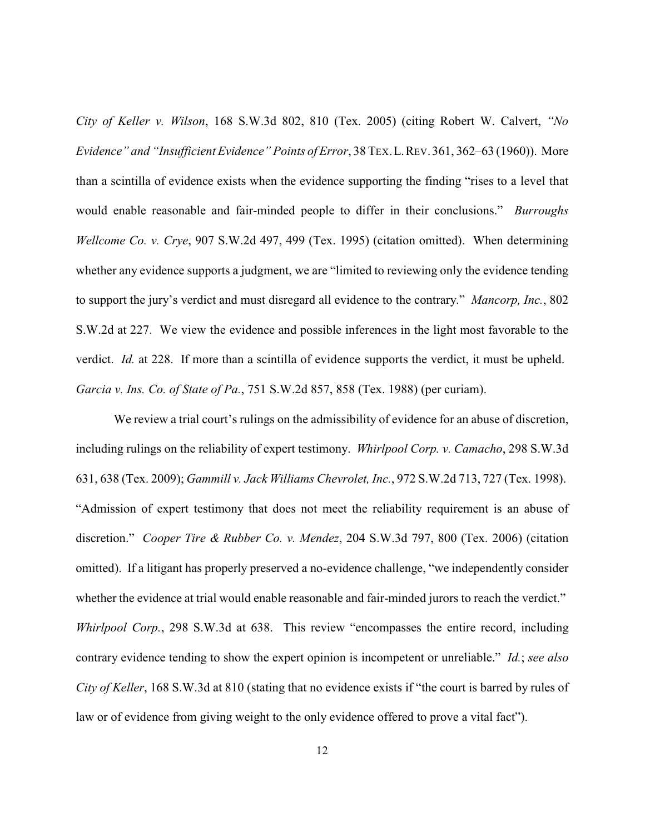*City of Keller v. Wilson*, 168 S.W.3d 802, 810 (Tex. 2005) (citing Robert W. Calvert, *"No Evidence" and "Insufficient Evidence" Points of Error*, 38 TEX.L.REV.361, 362–63 (1960)). More than a scintilla of evidence exists when the evidence supporting the finding "rises to a level that would enable reasonable and fair-minded people to differ in their conclusions." *Burroughs Wellcome Co. v. Crye*, 907 S.W.2d 497, 499 (Tex. 1995) (citation omitted). When determining whether any evidence supports a judgment, we are "limited to reviewing only the evidence tending to support the jury's verdict and must disregard all evidence to the contrary." *Mancorp, Inc.*, 802 S.W.2d at 227. We view the evidence and possible inferences in the light most favorable to the verdict. *Id.* at 228. If more than a scintilla of evidence supports the verdict, it must be upheld. *Garcia v. Ins. Co. of State of Pa.*, 751 S.W.2d 857, 858 (Tex. 1988) (per curiam).

We review a trial court's rulings on the admissibility of evidence for an abuse of discretion, including rulings on the reliability of expert testimony. *Whirlpool Corp. v. Camacho*, 298 S.W.3d 631, 638 (Tex. 2009); *Gammill v. Jack Williams Chevrolet, Inc.*, 972 S.W.2d 713, 727 (Tex. 1998). "Admission of expert testimony that does not meet the reliability requirement is an abuse of discretion." *Cooper Tire & Rubber Co. v. Mendez*, 204 S.W.3d 797, 800 (Tex. 2006) (citation omitted). If a litigant has properly preserved a no-evidence challenge, "we independently consider whether the evidence at trial would enable reasonable and fair-minded jurors to reach the verdict." *Whirlpool Corp.*, 298 S.W.3d at 638. This review "encompasses the entire record, including contrary evidence tending to show the expert opinion is incompetent or unreliable." *Id.*; *see also City of Keller*, 168 S.W.3d at 810 (stating that no evidence exists if "the court is barred by rules of law or of evidence from giving weight to the only evidence offered to prove a vital fact").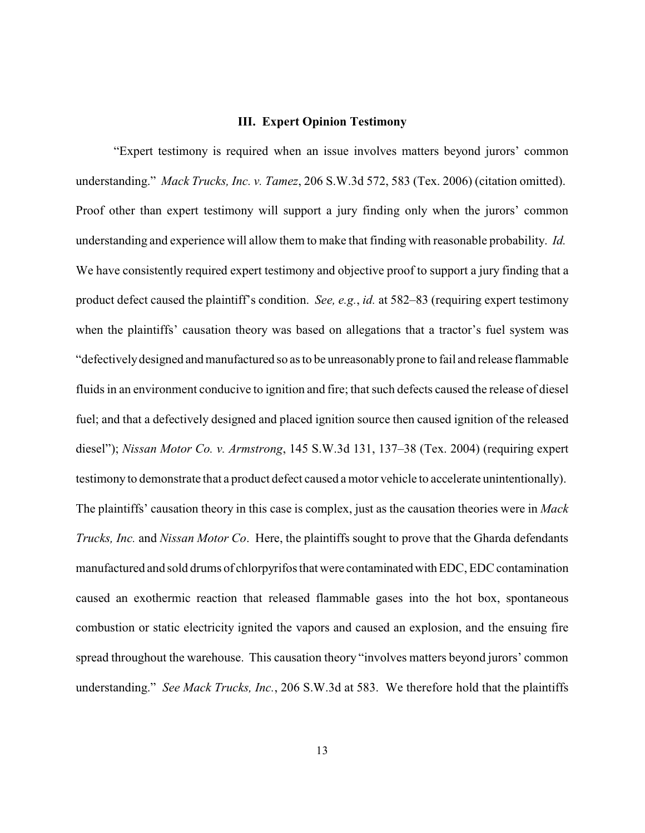#### **III. Expert Opinion Testimony**

"Expert testimony is required when an issue involves matters beyond jurors' common understanding." *Mack Trucks, Inc. v. Tamez*, 206 S.W.3d 572, 583 (Tex. 2006) (citation omitted). Proof other than expert testimony will support a jury finding only when the jurors' common understanding and experience will allow them to make that finding with reasonable probability. *Id.*  We have consistently required expert testimony and objective proof to support a jury finding that a product defect caused the plaintiff's condition. *See, e.g.*, *id.* at 582–83 (requiring expert testimony when the plaintiffs' causation theory was based on allegations that a tractor's fuel system was "defectivelydesigned and manufactured so as to be unreasonably prone to fail and release flammable fluids in an environment conducive to ignition and fire; that such defects caused the release of diesel fuel; and that a defectively designed and placed ignition source then caused ignition of the released diesel"); *Nissan Motor Co. v. Armstrong*, 145 S.W.3d 131, 137–38 (Tex. 2004) (requiring expert testimony to demonstrate that a product defect caused a motor vehicle to accelerate unintentionally). The plaintiffs' causation theory in this case is complex, just as the causation theories were in *Mack Trucks, Inc.* and *Nissan Motor Co*. Here, the plaintiffs sought to prove that the Gharda defendants manufactured and sold drums of chlorpyrifos that were contaminatedwithEDC, EDC contamination caused an exothermic reaction that released flammable gases into the hot box, spontaneous combustion or static electricity ignited the vapors and caused an explosion, and the ensuing fire spread throughout the warehouse. This causation theory "involves matters beyond jurors' common understanding." *See Mack Trucks, Inc.*, 206 S.W.3d at 583. We therefore hold that the plaintiffs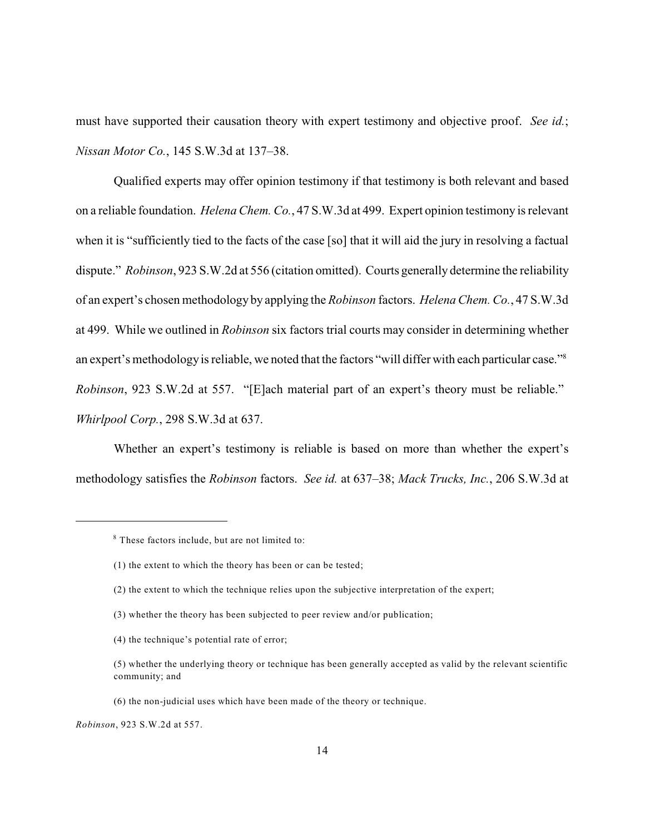must have supported their causation theory with expert testimony and objective proof. *See id.*; *Nissan Motor Co.*, 145 S.W.3d at 137–38.

Qualified experts may offer opinion testimony if that testimony is both relevant and based on a reliable foundation. *Helena Chem. Co.*, 47 S.W.3d at 499. Expert opinion testimony is relevant when it is "sufficiently tied to the facts of the case [so] that it will aid the jury in resolving a factual dispute." *Robinson*, 923 S.W.2d at 556 (citation omitted). Courts generally determine the reliability of an expert's chosen methodology by applying the *Robinson* factors. *Helena Chem. Co.*, 47 S.W.3d at 499. While we outlined in *Robinson* six factors trial courts may consider in determining whether an expert's methodology is reliable, we noted that the factors "will differ with each particular case."<sup>8</sup> *Robinson*, 923 S.W.2d at 557. "[E]ach material part of an expert's theory must be reliable." *Whirlpool Corp.*, 298 S.W.3d at 637.

Whether an expert's testimony is reliable is based on more than whether the expert's methodology satisfies the *Robinson* factors. *See id.* at 637–38; *Mack Trucks, Inc.*, 206 S.W.3d at

- (2) the extent to which the technique relies upon the subjective interpretation of the expert;
- (3) whether the theory has been subjected to peer review and/or publication;
- (4) the technique's potential rate of error;

<sup>&</sup>lt;sup>8</sup> These factors include, but are not limited to:

<sup>(1)</sup> the extent to which the theory has been or can be tested;

<sup>(5)</sup> whether the underlying theory or technique has been generally accepted as valid by the relevant scientific community; and

<sup>(6)</sup> the non-judicial uses which have been made of the theory or technique.

*Robinson*, 923 S.W.2d at 557.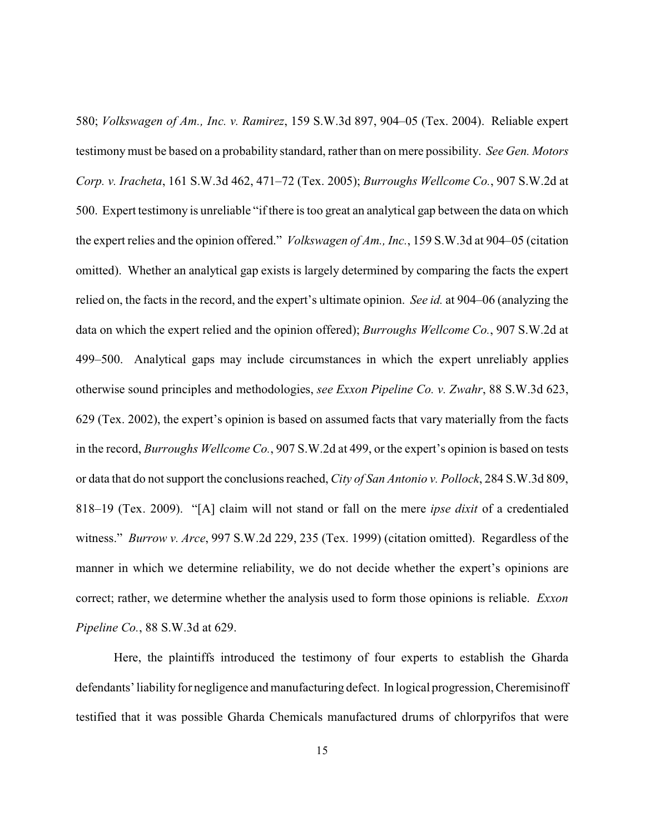580; *Volkswagen of Am., Inc. v. Ramirez*, 159 S.W.3d 897, 904–05 (Tex. 2004). Reliable expert testimonymust be based on a probability standard, rather than on mere possibility. *See Gen. Motors Corp. v. Iracheta*, 161 S.W.3d 462, 471–72 (Tex. 2005); *Burroughs Wellcome Co.*, 907 S.W.2d at 500. Expert testimony is unreliable "if there is too great an analytical gap between the data on which the expert relies and the opinion offered." *Volkswagen of Am., Inc.*, 159 S.W.3d at 904–05 (citation omitted). Whether an analytical gap exists is largely determined by comparing the facts the expert relied on, the facts in the record, and the expert's ultimate opinion. *See id.* at 904–06 (analyzing the data on which the expert relied and the opinion offered); *Burroughs Wellcome Co.*, 907 S.W.2d at 499–500. Analytical gaps may include circumstances in which the expert unreliably applies otherwise sound principles and methodologies, *see Exxon Pipeline Co. v. Zwahr*, 88 S.W.3d 623, 629 (Tex. 2002), the expert's opinion is based on assumed facts that vary materially from the facts in the record, *Burroughs Wellcome Co.*, 907 S.W.2d at 499, or the expert's opinion is based on tests or data that do not support the conclusions reached, *City of San Antonio v. Pollock*, 284 S.W.3d 809, 818–19 (Tex. 2009). "[A] claim will not stand or fall on the mere *ipse dixit* of a credentialed witness." *Burrow v. Arce*, 997 S.W.2d 229, 235 (Tex. 1999) (citation omitted). Regardless of the manner in which we determine reliability, we do not decide whether the expert's opinions are correct; rather, we determine whether the analysis used to form those opinions is reliable. *Exxon Pipeline Co.*, 88 S.W.3d at 629.

Here, the plaintiffs introduced the testimony of four experts to establish the Gharda defendants' liability for negligence and manufacturing defect. In logical progression, Cheremisinoff testified that it was possible Gharda Chemicals manufactured drums of chlorpyrifos that were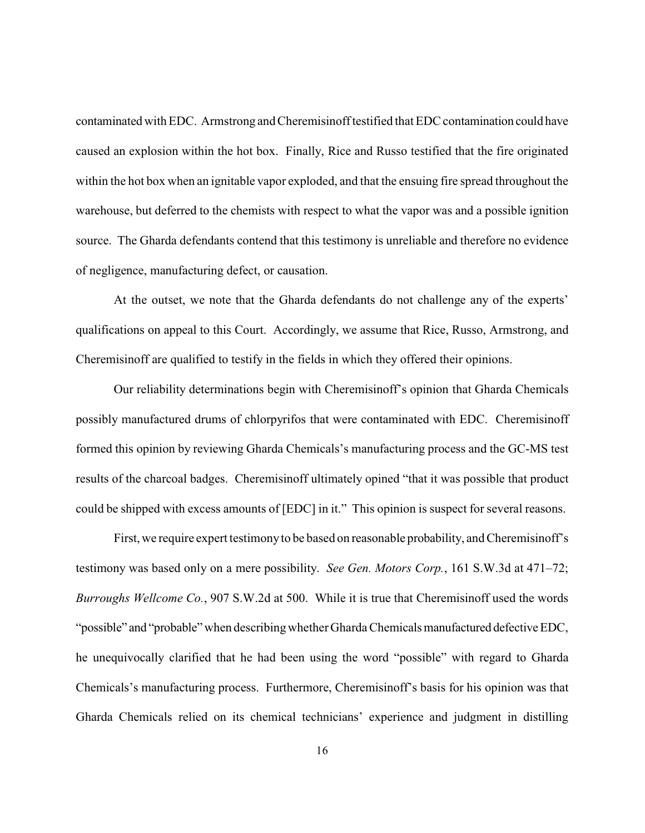contaminated with EDC. Armstrong and Cheremisinoff testified that EDC contamination could have caused an explosion within the hot box. Finally, Rice and Russo testified that the fire originated within the hot box when an ignitable vapor exploded, and that the ensuing fire spread throughout the warehouse, but deferred to the chemists with respect to what the vapor was and a possible ignition source. The Gharda defendants contend that this testimony is unreliable and therefore no evidence of negligence, manufacturing defect, or causation.

At the outset, we note that the Gharda defendants do not challenge any of the experts' qualifications on appeal to this Court. Accordingly, we assume that Rice, Russo, Armstrong, and Cheremisinoff are qualified to testify in the fields in which they offered their opinions.

Our reliability determinations begin with Cheremisinoff's opinion that Gharda Chemicals possibly manufactured drums of chlorpyrifos that were contaminated with EDC. Cheremisinoff formed this opinion by reviewing Gharda Chemicals's manufacturing process and the GC-MS test results of the charcoal badges. Cheremisinoff ultimately opined "that it was possible that product could be shipped with excess amounts of [EDC] in it." This opinion is suspect for several reasons.

First, we require expert testimonyto be based on reasonable probability, and Cheremisinoff's testimony was based only on a mere possibility. *See Gen. Motors Corp.*, 161 S.W.3d at 471–72; *Burroughs Wellcome Co.*, 907 S.W.2d at 500. While it is true that Cheremisinoff used the words "possible" and "probable" when describing whether Gharda Chemicals manufactured defective EDC, he unequivocally clarified that he had been using the word "possible" with regard to Gharda Chemicals's manufacturing process. Furthermore, Cheremisinoff's basis for his opinion was that Gharda Chemicals relied on its chemical technicians' experience and judgment in distilling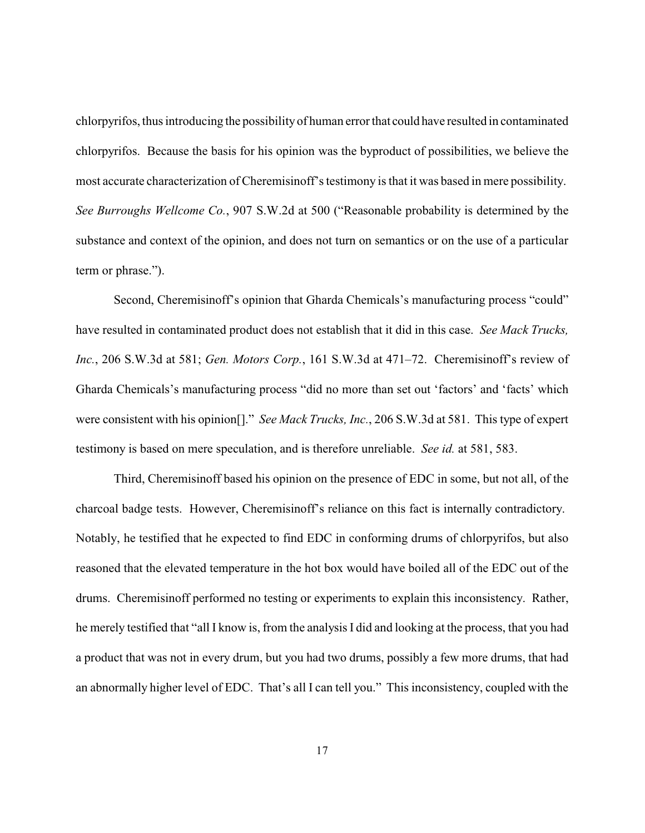chlorpyrifos, thus introducing the possibilityof human error that could have resulted in contaminated chlorpyrifos. Because the basis for his opinion was the byproduct of possibilities, we believe the most accurate characterization of Cheremisinoff's testimony is that it was based in mere possibility. *See Burroughs Wellcome Co.*, 907 S.W.2d at 500 ("Reasonable probability is determined by the substance and context of the opinion, and does not turn on semantics or on the use of a particular term or phrase.").

Second, Cheremisinoff's opinion that Gharda Chemicals's manufacturing process "could" have resulted in contaminated product does not establish that it did in this case. *See Mack Trucks, Inc.*, 206 S.W.3d at 581; *Gen. Motors Corp.*, 161 S.W.3d at 471–72. Cheremisinoff's review of Gharda Chemicals's manufacturing process "did no more than set out 'factors' and 'facts' which were consistent with his opinion[]." *See Mack Trucks, Inc.*, 206 S.W.3d at 581. This type of expert testimony is based on mere speculation, and is therefore unreliable. *See id.* at 581, 583.

Third, Cheremisinoff based his opinion on the presence of EDC in some, but not all, of the charcoal badge tests. However, Cheremisinoff's reliance on this fact is internally contradictory. Notably, he testified that he expected to find EDC in conforming drums of chlorpyrifos, but also reasoned that the elevated temperature in the hot box would have boiled all of the EDC out of the drums. Cheremisinoff performed no testing or experiments to explain this inconsistency. Rather, he merely testified that "all I know is, from the analysis I did and looking at the process, that you had a product that was not in every drum, but you had two drums, possibly a few more drums, that had an abnormally higher level of EDC. That's all I can tell you." This inconsistency, coupled with the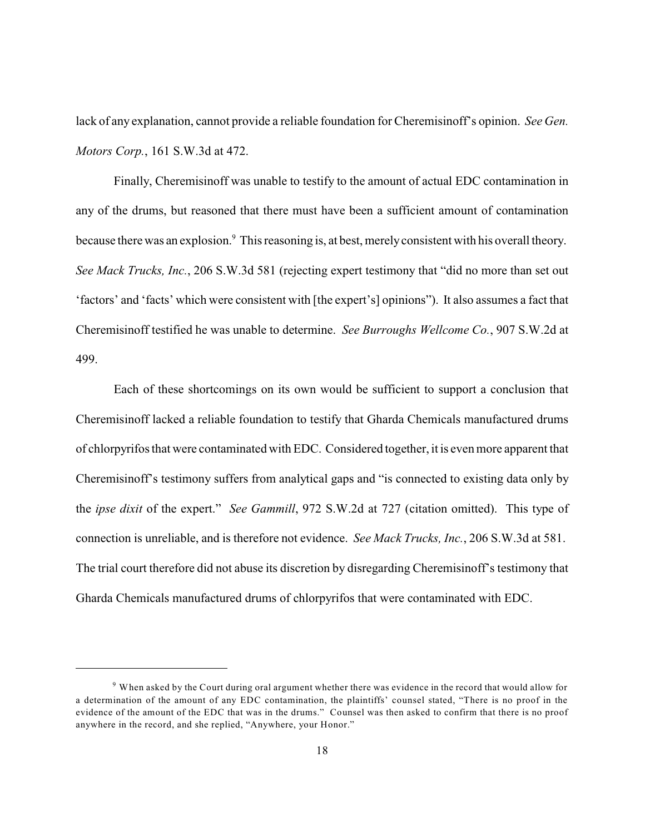lack of any explanation, cannot provide a reliable foundation for Cheremisinoff's opinion. *See Gen. Motors Corp.*, 161 S.W.3d at 472.

Finally, Cheremisinoff was unable to testify to the amount of actual EDC contamination in any of the drums, but reasoned that there must have been a sufficient amount of contamination because there was an explosion.<sup>9</sup> This reasoning is, at best, merely consistent with his overall theory. *See Mack Trucks, Inc.*, 206 S.W.3d 581 (rejecting expert testimony that "did no more than set out 'factors' and 'facts' which were consistent with [the expert's] opinions"). It also assumes a fact that Cheremisinoff testified he was unable to determine. *See Burroughs Wellcome Co.*, 907 S.W.2d at 499.

Each of these shortcomings on its own would be sufficient to support a conclusion that Cheremisinoff lacked a reliable foundation to testify that Gharda Chemicals manufactured drums of chlorpyrifos that were contaminated with EDC. Considered together, it is even more apparent that Cheremisinoff's testimony suffers from analytical gaps and "is connected to existing data only by the *ipse dixit* of the expert." *See Gammill*, 972 S.W.2d at 727 (citation omitted). This type of connection is unreliable, and is therefore not evidence. *See Mack Trucks, Inc.*, 206 S.W.3d at 581. The trial court therefore did not abuse its discretion by disregarding Cheremisinoff's testimony that Gharda Chemicals manufactured drums of chlorpyrifos that were contaminated with EDC.

 $9$  When asked by the Court during oral argument whether there was evidence in the record that would allow for a determination of the amount of any EDC contamination, the plaintiffs' counsel stated, "There is no proof in the evidence of the amount of the EDC that was in the drums." Counsel was then asked to confirm that there is no proof anywhere in the record, and she replied, "Anywhere, your Honor."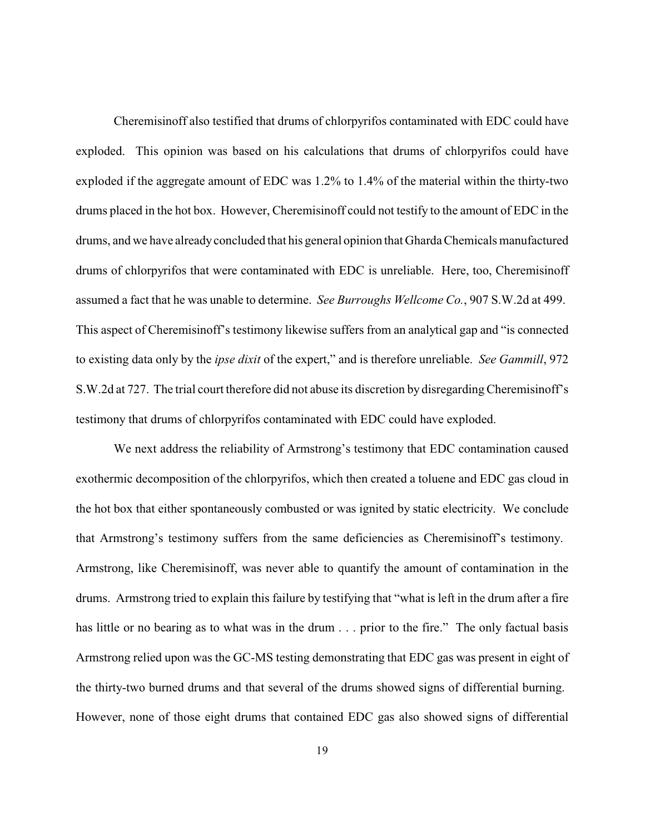Cheremisinoff also testified that drums of chlorpyrifos contaminated with EDC could have exploded. This opinion was based on his calculations that drums of chlorpyrifos could have exploded if the aggregate amount of EDC was 1.2% to 1.4% of the material within the thirty-two drums placed in the hot box. However, Cheremisinoff could not testify to the amount of EDC in the drums, and we have alreadyconcluded that his general opinion that Gharda Chemicals manufactured drums of chlorpyrifos that were contaminated with EDC is unreliable. Here, too, Cheremisinoff assumed a fact that he was unable to determine. *See Burroughs Wellcome Co.*, 907 S.W.2d at 499. This aspect of Cheremisinoff's testimony likewise suffers from an analytical gap and "is connected to existing data only by the *ipse dixit* of the expert," and is therefore unreliable. *See Gammill*, 972 S.W.2d at 727. The trial court therefore did not abuse its discretion by disregarding Cheremisinoff's testimony that drums of chlorpyrifos contaminated with EDC could have exploded.

We next address the reliability of Armstrong's testimony that EDC contamination caused exothermic decomposition of the chlorpyrifos, which then created a toluene and EDC gas cloud in the hot box that either spontaneously combusted or was ignited by static electricity. We conclude that Armstrong's testimony suffers from the same deficiencies as Cheremisinoff's testimony. Armstrong, like Cheremisinoff, was never able to quantify the amount of contamination in the drums. Armstrong tried to explain this failure by testifying that "what is left in the drum after a fire has little or no bearing as to what was in the drum . . . prior to the fire." The only factual basis Armstrong relied upon was the GC-MS testing demonstrating that EDC gas was present in eight of the thirty-two burned drums and that several of the drums showed signs of differential burning. However, none of those eight drums that contained EDC gas also showed signs of differential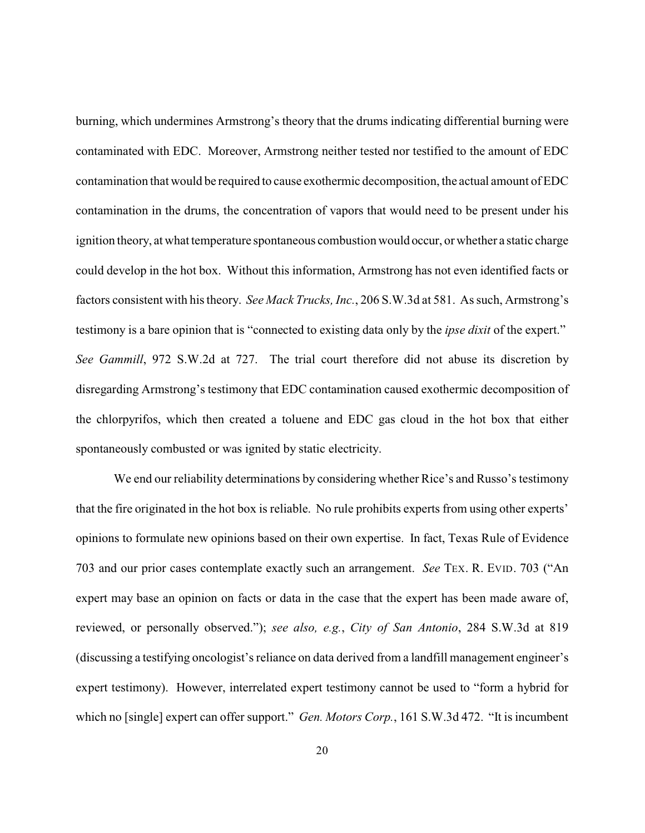burning, which undermines Armstrong's theory that the drums indicating differential burning were contaminated with EDC. Moreover, Armstrong neither tested nor testified to the amount of EDC contamination that would be required to cause exothermic decomposition, the actual amount of EDC contamination in the drums, the concentration of vapors that would need to be present under his ignition theory, at what temperature spontaneous combustion would occur, or whether a static charge could develop in the hot box. Without this information, Armstrong has not even identified facts or factors consistent with his theory. *See Mack Trucks, Inc.*, 206 S.W.3d at 581. As such, Armstrong's testimony is a bare opinion that is "connected to existing data only by the *ipse dixit* of the expert." *See Gammill*, 972 S.W.2d at 727. The trial court therefore did not abuse its discretion by disregarding Armstrong's testimony that EDC contamination caused exothermic decomposition of the chlorpyrifos, which then created a toluene and EDC gas cloud in the hot box that either spontaneously combusted or was ignited by static electricity.

We end our reliability determinations by considering whether Rice's and Russo's testimony that the fire originated in the hot box is reliable. No rule prohibits experts from using other experts' opinions to formulate new opinions based on their own expertise. In fact, Texas Rule of Evidence 703 and our prior cases contemplate exactly such an arrangement. *See* TEX. R. EVID. 703 ("An expert may base an opinion on facts or data in the case that the expert has been made aware of, reviewed, or personally observed."); *see also, e.g.*, *City of San Antonio*, 284 S.W.3d at 819 (discussing a testifying oncologist's reliance on data derived from a landfill management engineer's expert testimony). However, interrelated expert testimony cannot be used to "form a hybrid for which no [single] expert can offer support." *Gen. Motors Corp.*, 161 S.W.3d 472. "It is incumbent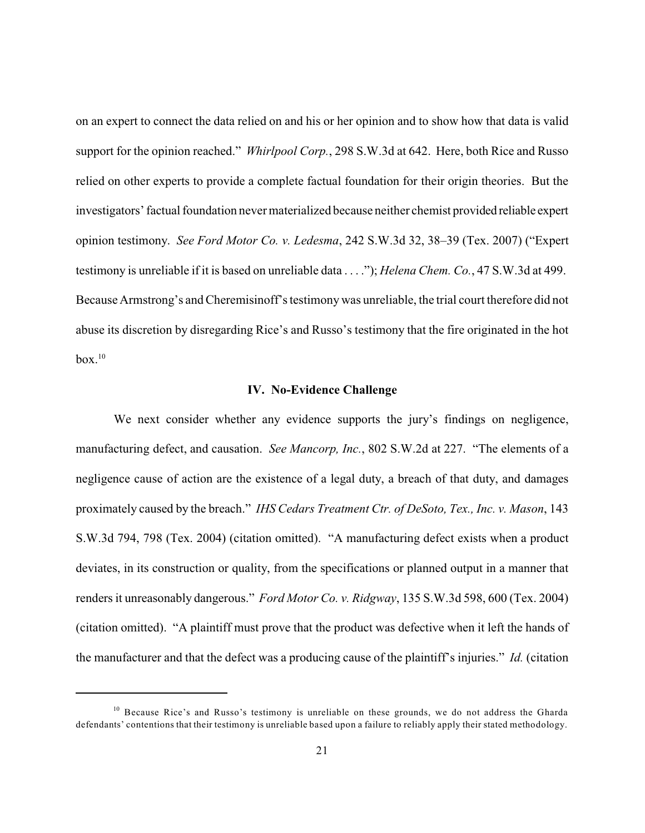on an expert to connect the data relied on and his or her opinion and to show how that data is valid support for the opinion reached." *Whirlpool Corp.*, 298 S.W.3d at 642. Here, both Rice and Russo relied on other experts to provide a complete factual foundation for their origin theories. But the investigators' factual foundation nevermaterialized because neither chemist provided reliable expert opinion testimony. *See Ford Motor Co. v. Ledesma*, 242 S.W.3d 32, 38–39 (Tex. 2007) ("Expert testimony is unreliable if it is based on unreliable data . . . ."); *Helena Chem. Co.*, 47 S.W.3d at 499. Because Armstrong's and Cheremisinoff's testimony was unreliable, the trial court therefore did not abuse its discretion by disregarding Rice's and Russo's testimony that the fire originated in the hot box. $^{10}$ 

#### **IV. No-Evidence Challenge**

We next consider whether any evidence supports the jury's findings on negligence, manufacturing defect, and causation. *See Mancorp, Inc.*, 802 S.W.2d at 227. "The elements of a negligence cause of action are the existence of a legal duty, a breach of that duty, and damages proximately caused by the breach." *IHS Cedars Treatment Ctr. of DeSoto, Tex., Inc. v. Mason*, 143 S.W.3d 794, 798 (Tex. 2004) (citation omitted). "A manufacturing defect exists when a product deviates, in its construction or quality, from the specifications or planned output in a manner that renders it unreasonably dangerous." *Ford Motor Co. v. Ridgway*, 135 S.W.3d 598, 600 (Tex. 2004) (citation omitted). "A plaintiff must prove that the product was defective when it left the hands of the manufacturer and that the defect was a producing cause of the plaintiff's injuries." *Id.* (citation

 $10$  Because Rice's and Russo's testimony is unreliable on these grounds, we do not address the Gharda defendants' contentions that their testimony is unreliable based upon a failure to reliably apply their stated methodology.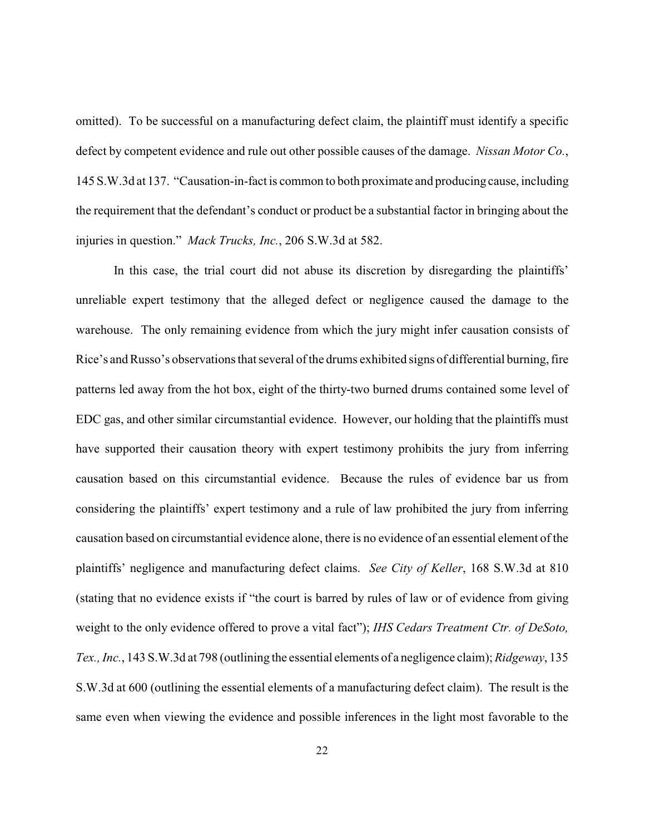omitted). To be successful on a manufacturing defect claim, the plaintiff must identify a specific defect by competent evidence and rule out other possible causes of the damage. *Nissan Motor Co.*, 145 S.W.3d at 137. "Causation-in-fact is common to both proximate and producing cause, including the requirement that the defendant's conduct or product be a substantial factor in bringing about the injuries in question." *Mack Trucks, Inc.*, 206 S.W.3d at 582.

In this case, the trial court did not abuse its discretion by disregarding the plaintiffs' unreliable expert testimony that the alleged defect or negligence caused the damage to the warehouse. The only remaining evidence from which the jury might infer causation consists of Rice's and Russo's observations that several of the drums exhibited signs of differential burning, fire patterns led away from the hot box, eight of the thirty-two burned drums contained some level of EDC gas, and other similar circumstantial evidence. However, our holding that the plaintiffs must have supported their causation theory with expert testimony prohibits the jury from inferring causation based on this circumstantial evidence. Because the rules of evidence bar us from considering the plaintiffs' expert testimony and a rule of law prohibited the jury from inferring causation based on circumstantial evidence alone, there is no evidence of an essential element of the plaintiffs' negligence and manufacturing defect claims. *See City of Keller*, 168 S.W.3d at 810 (stating that no evidence exists if "the court is barred by rules of law or of evidence from giving weight to the only evidence offered to prove a vital fact"); *IHS Cedars Treatment Ctr. of DeSoto, Tex., Inc.*, 143 S.W.3d at 798 (outlining the essential elements of a negligence claim); *Ridgeway*, 135 S.W.3d at 600 (outlining the essential elements of a manufacturing defect claim). The result is the same even when viewing the evidence and possible inferences in the light most favorable to the